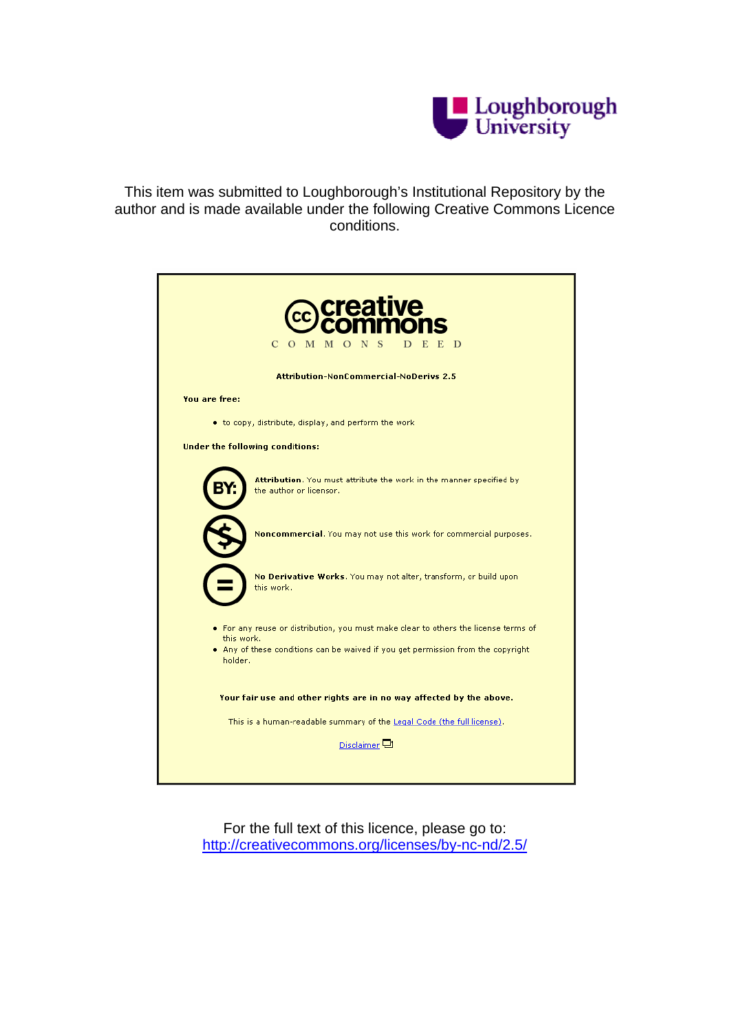

This item was submitted to Loughborough's Institutional Repository by the author and is made available under the following Creative Commons Licence conditions.

| C<br>D<br>- M<br>S<br>E<br>$\Omega$<br>M<br>$\Box$                                                |
|---------------------------------------------------------------------------------------------------|
| <b>Attribution-NonCommercial-NoDerivs 2.5</b>                                                     |
| You are free:                                                                                     |
| • to copy, distribute, display, and perform the work                                              |
| <b>Under the following conditions:</b>                                                            |
| Attribution. You must attribute the work in the manner specified by<br>the author or licensor.    |
| Noncommercial. You may not use this work for commercial purposes.                                 |
| No Derivative Works. You may not alter, transform, or build upon<br>this work.                    |
| . For any reuse or distribution, you must make clear to others the license terms of<br>this work. |
| . Any of these conditions can be waived if you get permission from the copyright<br>holder.       |
| Your fair use and other rights are in no way affected by the above.                               |
| This is a human-readable summary of the Legal Code (the full license).                            |
| Disclaimer <sup>[1]</sup>                                                                         |
|                                                                                                   |

For the full text of this licence, please go to: http://creativecommons.org/licenses/by-nc-nd/2.5/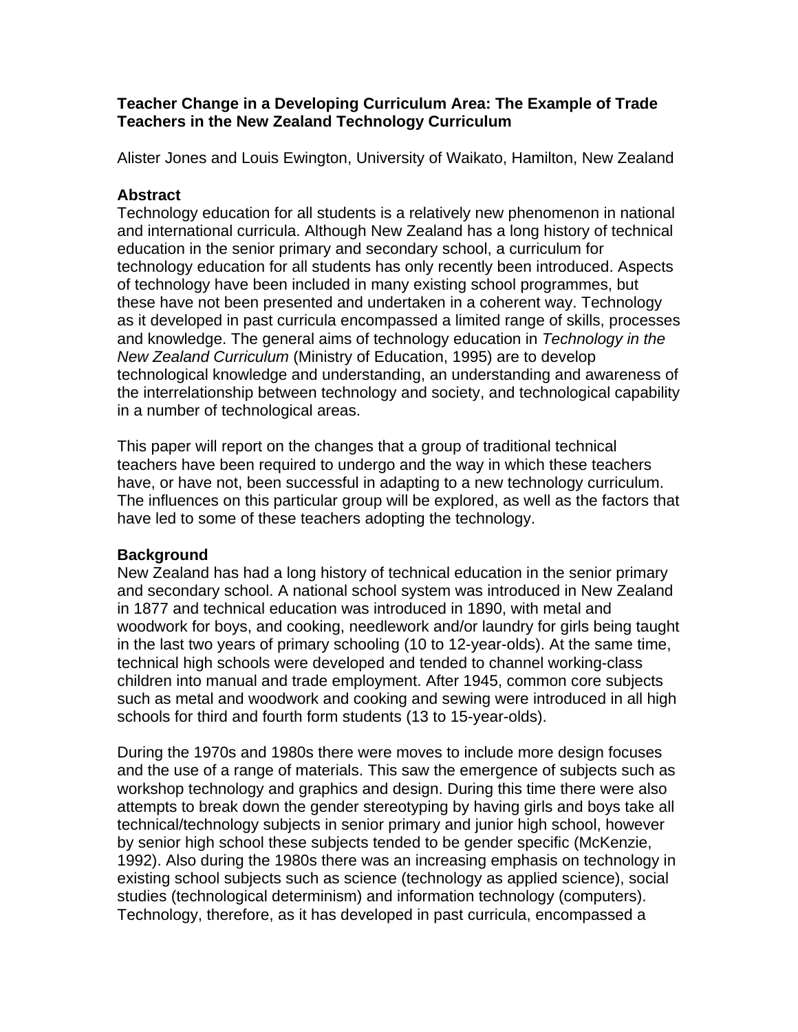## **Teacher Change in a Developing Curriculum Area: The Example of Trade Teachers in the New Zealand Technology Curriculum**

Alister Jones and Louis Ewington, University of Waikato, Hamilton, New Zealand

### **Abstract**

Technology education for all students is a relatively new phenomenon in national and international curricula. Although New Zealand has a long history of technical education in the senior primary and secondary school, a curriculum for technology education for all students has only recently been introduced. Aspects of technology have been included in many existing school programmes, but these have not been presented and undertaken in a coherent way. Technology as it developed in past curricula encompassed a limited range of skills, processes and knowledge. The general aims of technology education in *Technology in the New Zealand Curriculum* (Ministry of Education, 1995) are to develop technological knowledge and understanding, an understanding and awareness of the interrelationship between technology and society, and technological capability in a number of technological areas.

This paper will report on the changes that a group of traditional technical teachers have been required to undergo and the way in which these teachers have, or have not, been successful in adapting to a new technology curriculum. The influences on this particular group will be explored, as well as the factors that have led to some of these teachers adopting the technology.

# **Background**

New Zealand has had a long history of technical education in the senior primary and secondary school. A national school system was introduced in New Zealand in 1877 and technical education was introduced in 1890, with metal and woodwork for boys, and cooking, needlework and/or laundry for girls being taught in the last two years of primary schooling (10 to 12-year-olds). At the same time, technical high schools were developed and tended to channel working-class children into manual and trade employment. After 1945, common core subjects such as metal and woodwork and cooking and sewing were introduced in all high schools for third and fourth form students (13 to 15-year-olds).

During the 1970s and 1980s there were moves to include more design focuses and the use of a range of materials. This saw the emergence of subjects such as workshop technology and graphics and design. During this time there were also attempts to break down the gender stereotyping by having girls and boys take all technical/technology subjects in senior primary and junior high school, however by senior high school these subjects tended to be gender specific (McKenzie, 1992). Also during the 1980s there was an increasing emphasis on technology in existing school subjects such as science (technology as applied science), social studies (technological determinism) and information technology (computers). Technology, therefore, as it has developed in past curricula, encompassed a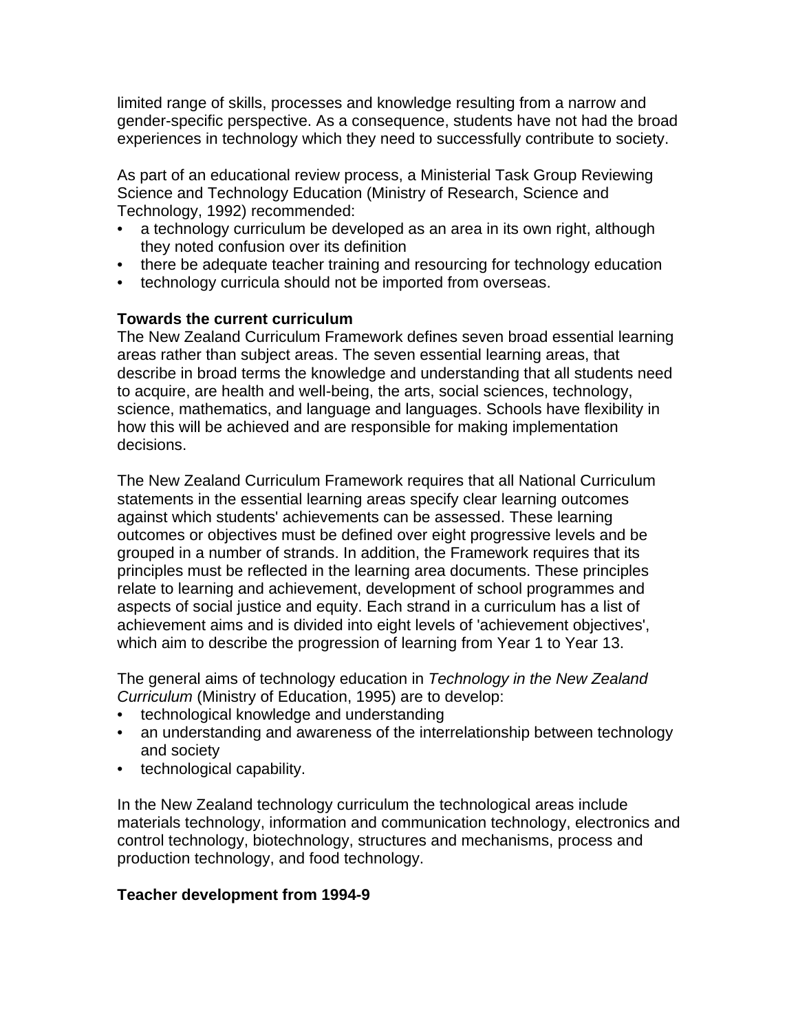limited range of skills, processes and knowledge resulting from a narrow and gender-specific perspective. As a consequence, students have not had the broad experiences in technology which they need to successfully contribute to society.

As part of an educational review process, a Ministerial Task Group Reviewing Science and Technology Education (Ministry of Research, Science and Technology, 1992) recommended:

- a technology curriculum be developed as an area in its own right, although they noted confusion over its definition
- there be adequate teacher training and resourcing for technology education
- technology curricula should not be imported from overseas.

## **Towards the current curriculum**

The New Zealand Curriculum Framework defines seven broad essential learning areas rather than subject areas. The seven essential learning areas, that describe in broad terms the knowledge and understanding that all students need to acquire, are health and well-being, the arts, social sciences, technology, science, mathematics, and language and languages. Schools have flexibility in how this will be achieved and are responsible for making implementation decisions.

The New Zealand Curriculum Framework requires that all National Curriculum statements in the essential learning areas specify clear learning outcomes against which students' achievements can be assessed. These learning outcomes or objectives must be defined over eight progressive levels and be grouped in a number of strands. In addition, the Framework requires that its principles must be reflected in the learning area documents. These principles relate to learning and achievement, development of school programmes and aspects of social justice and equity. Each strand in a curriculum has a list of achievement aims and is divided into eight levels of 'achievement objectives', which aim to describe the progression of learning from Year 1 to Year 13.

The general aims of technology education in *Technology in the New Zealand Curriculum* (Ministry of Education, 1995) are to develop:

- technological knowledge and understanding
- an understanding and awareness of the interrelationship between technology and society
- technological capability.

In the New Zealand technology curriculum the technological areas include materials technology, information and communication technology, electronics and control technology, biotechnology, structures and mechanisms, process and production technology, and food technology.

#### **Teacher development from 1994-9**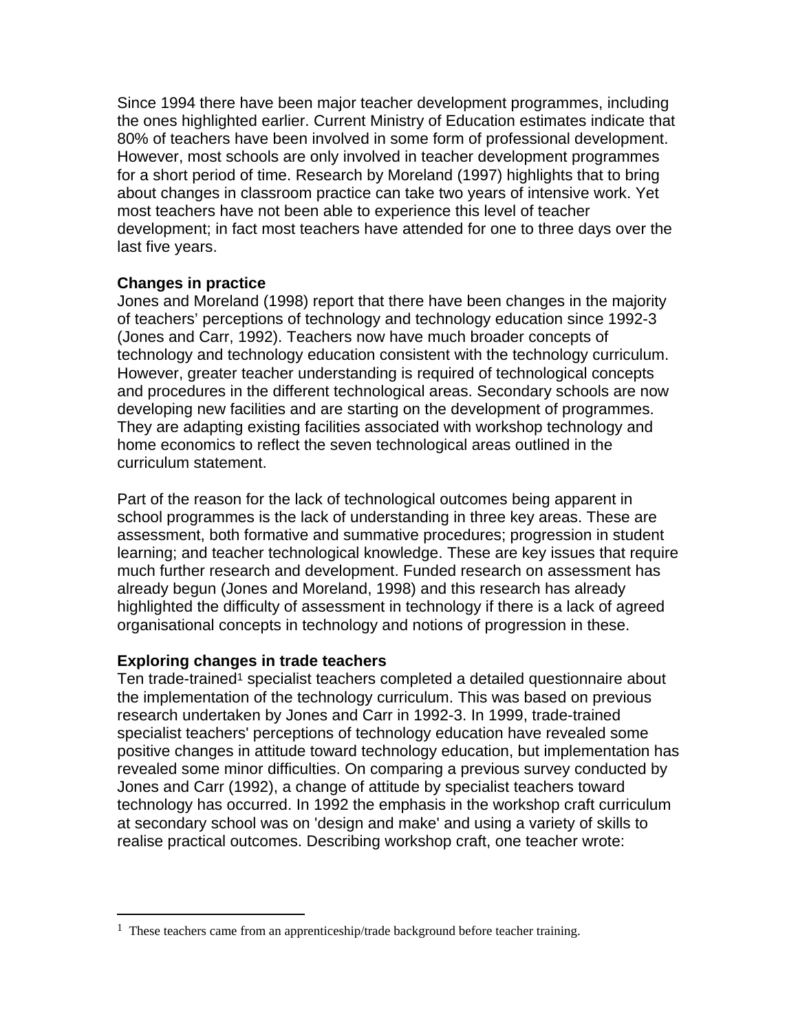Since 1994 there have been major teacher development programmes, including the ones highlighted earlier. Current Ministry of Education estimates indicate that 80% of teachers have been involved in some form of professional development. However, most schools are only involved in teacher development programmes for a short period of time. Research by Moreland (1997) highlights that to bring about changes in classroom practice can take two years of intensive work. Yet most teachers have not been able to experience this level of teacher development; in fact most teachers have attended for one to three days over the last five years.

#### **Changes in practice**

Jones and Moreland (1998) report that there have been changes in the majority of teachers' perceptions of technology and technology education since 1992-3 (Jones and Carr, 1992). Teachers now have much broader concepts of technology and technology education consistent with the technology curriculum. However, greater teacher understanding is required of technological concepts and procedures in the different technological areas. Secondary schools are now developing new facilities and are starting on the development of programmes. They are adapting existing facilities associated with workshop technology and home economics to reflect the seven technological areas outlined in the curriculum statement.

Part of the reason for the lack of technological outcomes being apparent in school programmes is the lack of understanding in three key areas. These are assessment, both formative and summative procedures; progression in student learning; and teacher technological knowledge. These are key issues that require much further research and development. Funded research on assessment has already begun (Jones and Moreland, 1998) and this research has already highlighted the difficulty of assessment in technology if there is a lack of agreed organisational concepts in technology and notions of progression in these.

#### **Exploring changes in trade teachers**

 $\overline{a}$ 

Ten trade-trained<sup>1</sup> specialist teachers completed a detailed questionnaire about the implementation of the technology curriculum. This was based on previous research undertaken by Jones and Carr in 1992-3. In 1999, trade-trained specialist teachers' perceptions of technology education have revealed some positive changes in attitude toward technology education, but implementation has revealed some minor difficulties. On comparing a previous survey conducted by Jones and Carr (1992), a change of attitude by specialist teachers toward technology has occurred. In 1992 the emphasis in the workshop craft curriculum at secondary school was on 'design and make' and using a variety of skills to realise practical outcomes. Describing workshop craft, one teacher wrote:

<sup>&</sup>lt;sup>1</sup> These teachers came from an apprenticeship/trade background before teacher training.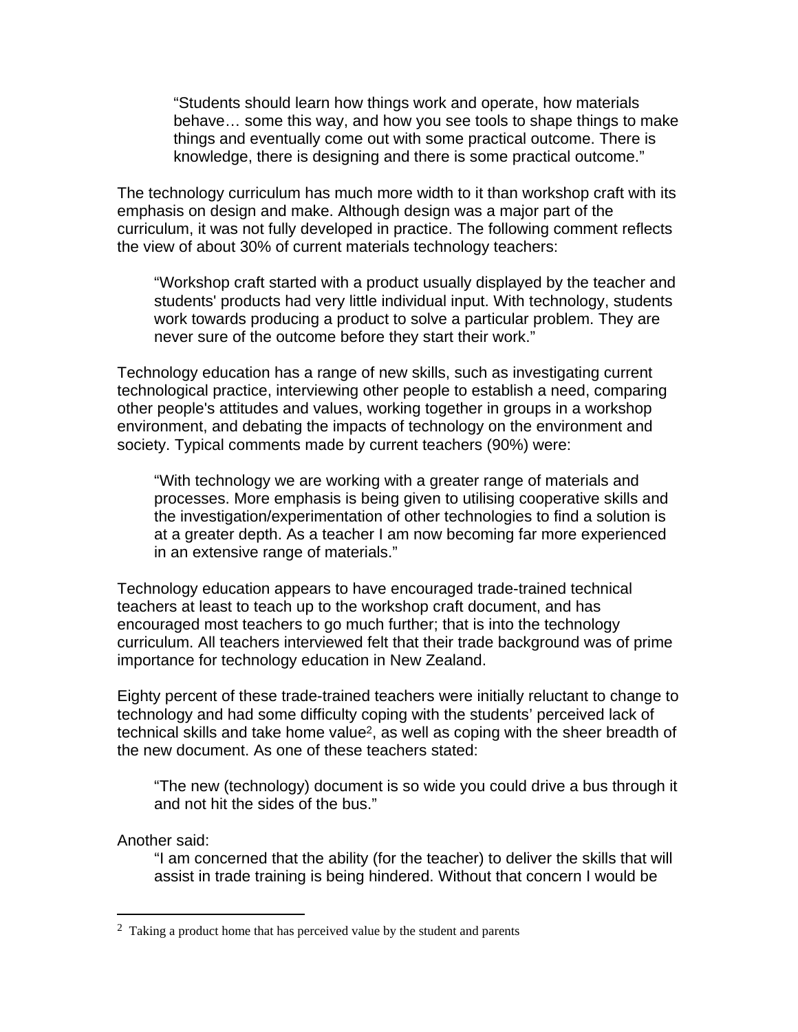"Students should learn how things work and operate, how materials behave… some this way, and how you see tools to shape things to make things and eventually come out with some practical outcome. There is knowledge, there is designing and there is some practical outcome."

The technology curriculum has much more width to it than workshop craft with its emphasis on design and make. Although design was a major part of the curriculum, it was not fully developed in practice. The following comment reflects the view of about 30% of current materials technology teachers:

"Workshop craft started with a product usually displayed by the teacher and students' products had very little individual input. With technology, students work towards producing a product to solve a particular problem. They are never sure of the outcome before they start their work."

Technology education has a range of new skills, such as investigating current technological practice, interviewing other people to establish a need, comparing other people's attitudes and values, working together in groups in a workshop environment, and debating the impacts of technology on the environment and society. Typical comments made by current teachers (90%) were:

"With technology we are working with a greater range of materials and processes. More emphasis is being given to utilising cooperative skills and the investigation/experimentation of other technologies to find a solution is at a greater depth. As a teacher I am now becoming far more experienced in an extensive range of materials."

Technology education appears to have encouraged trade-trained technical teachers at least to teach up to the workshop craft document, and has encouraged most teachers to go much further; that is into the technology curriculum. All teachers interviewed felt that their trade background was of prime importance for technology education in New Zealand.

Eighty percent of these trade-trained teachers were initially reluctant to change to technology and had some difficulty coping with the students' perceived lack of technical skills and take home value2, as well as coping with the sheer breadth of the new document. As one of these teachers stated:

"The new (technology) document is so wide you could drive a bus through it and not hit the sides of the bus."

#### Another said:

 $\overline{a}$ 

"I am concerned that the ability (for the teacher) to deliver the skills that will assist in trade training is being hindered. Without that concern I would be

 $2$  Taking a product home that has perceived value by the student and parents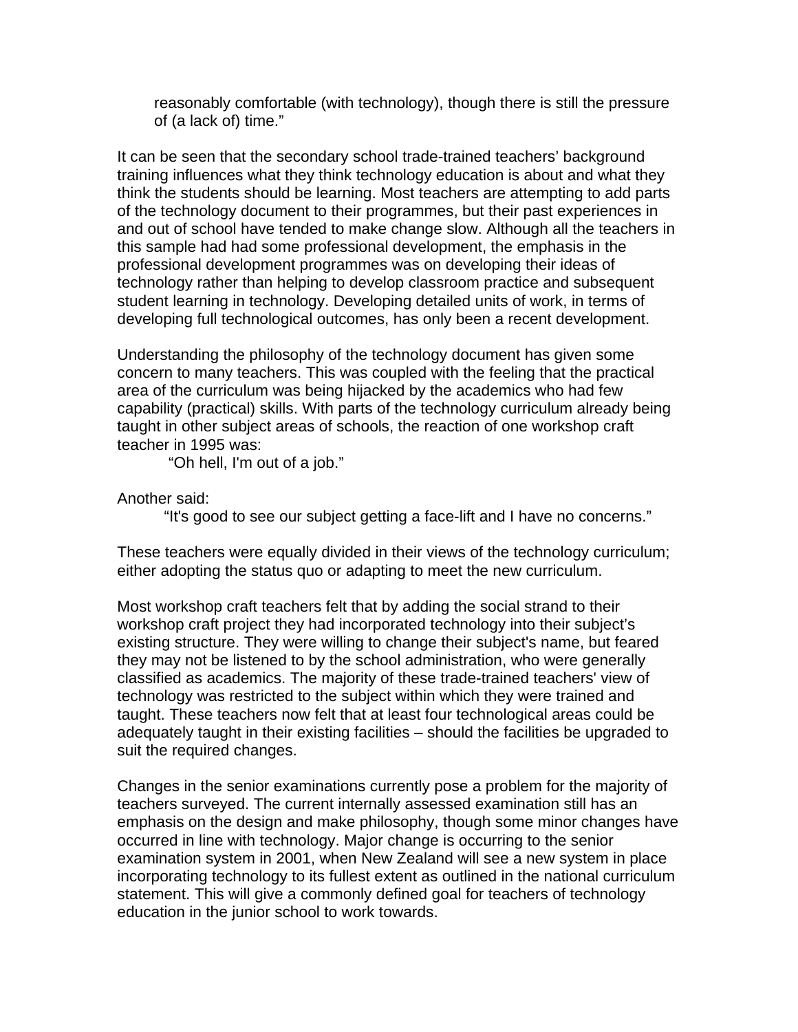reasonably comfortable (with technology), though there is still the pressure of (a lack of) time."

It can be seen that the secondary school trade-trained teachers' background training influences what they think technology education is about and what they think the students should be learning. Most teachers are attempting to add parts of the technology document to their programmes, but their past experiences in and out of school have tended to make change slow. Although all the teachers in this sample had had some professional development, the emphasis in the professional development programmes was on developing their ideas of technology rather than helping to develop classroom practice and subsequent student learning in technology. Developing detailed units of work, in terms of developing full technological outcomes, has only been a recent development.

Understanding the philosophy of the technology document has given some concern to many teachers. This was coupled with the feeling that the practical area of the curriculum was being hijacked by the academics who had few capability (practical) skills. With parts of the technology curriculum already being taught in other subject areas of schools, the reaction of one workshop craft teacher in 1995 was:

"Oh hell, I'm out of a job."

Another said:

"It's good to see our subject getting a face-lift and I have no concerns."

These teachers were equally divided in their views of the technology curriculum; either adopting the status quo or adapting to meet the new curriculum.

Most workshop craft teachers felt that by adding the social strand to their workshop craft project they had incorporated technology into their subject's existing structure. They were willing to change their subject's name, but feared they may not be listened to by the school administration, who were generally classified as academics. The majority of these trade-trained teachers' view of technology was restricted to the subject within which they were trained and taught. These teachers now felt that at least four technological areas could be adequately taught in their existing facilities – should the facilities be upgraded to suit the required changes.

Changes in the senior examinations currently pose a problem for the majority of teachers surveyed. The current internally assessed examination still has an emphasis on the design and make philosophy, though some minor changes have occurred in line with technology. Major change is occurring to the senior examination system in 2001, when New Zealand will see a new system in place incorporating technology to its fullest extent as outlined in the national curriculum statement. This will give a commonly defined goal for teachers of technology education in the junior school to work towards.